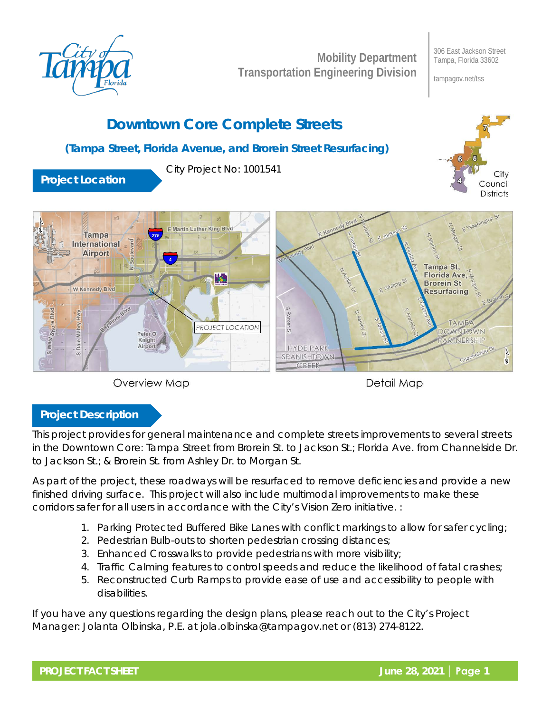

**Mobility Department Transportation Engineering Division** 306 East Jackson Street Tampa, Florida 33602

> City council

tampagov.net/tss

# **Downtown Core Complete Streets**

### **(Tampa Street, Florida Avenue, and Brorein Street Resurfacing)**

City Project No: 1001541

**Project Location**





Detail Map

## **Project Description**

This project provides for general maintenance and complete streets improvements to several streets in the Downtown Core: Tampa Street from Brorein St. to Jackson St.; Florida Ave. from Channelside Dr. to Jackson St.; & Brorein St. from Ashley Dr. to Morgan St.

As part of the project, these roadways will be resurfaced to remove deficiencies and provide a new finished driving surface. This project will also include multimodal improvements to make these corridors safer for all users in accordance with the City's Vision Zero initiative. :

- 1. Parking Protected Buffered Bike Lanes with conflict markings to allow for safer cycling;
- 2. Pedestrian Bulb-outs to shorten pedestrian crossing distances;
- 3. Enhanced Crosswalks to provide pedestrians with more visibility;
- 4. Traffic Calming features to control speeds and reduce the likelihood of fatal crashes;
- 5. Reconstructed Curb Ramps to provide ease of use and accessibility to people with disabilities.

If you have any questions regarding the design plans, please reach out to the City's Project Manager: Jolanta Olbinska, P.E. at jola.olbinska@tampagov.net or (813) 274-8122.